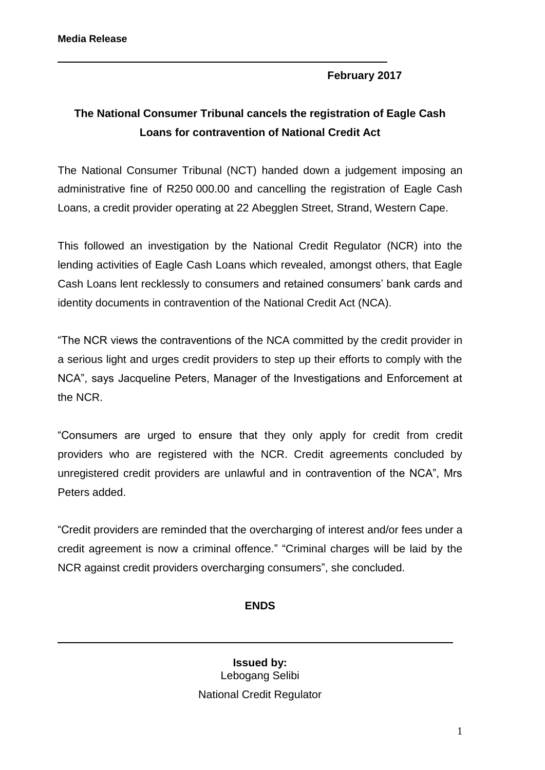**February 2017**

## **The National Consumer Tribunal cancels the registration of Eagle Cash Loans for contravention of National Credit Act**

The National Consumer Tribunal (NCT) handed down a judgement imposing an administrative fine of R250 000.00 and cancelling the registration of Eagle Cash Loans, a credit provider operating at 22 Abegglen Street, Strand, Western Cape.

This followed an investigation by the National Credit Regulator (NCR) into the lending activities of Eagle Cash Loans which revealed, amongst others, that Eagle Cash Loans lent recklessly to consumers and retained consumers' bank cards and identity documents in contravention of the National Credit Act (NCA).

"The NCR views the contraventions of the NCA committed by the credit provider in a serious light and urges credit providers to step up their efforts to comply with the NCA", says Jacqueline Peters, Manager of the Investigations and Enforcement at the NCR.

"Consumers are urged to ensure that they only apply for credit from credit providers who are registered with the NCR. Credit agreements concluded by unregistered credit providers are unlawful and in contravention of the NCA", Mrs Peters added.

"Credit providers are reminded that the overcharging of interest and/or fees under a credit agreement is now a criminal offence." "Criminal charges will be laid by the NCR against credit providers overcharging consumers", she concluded.

## **ENDS**

## **Issued by:**  Lebogang Selibi National Credit Regulator